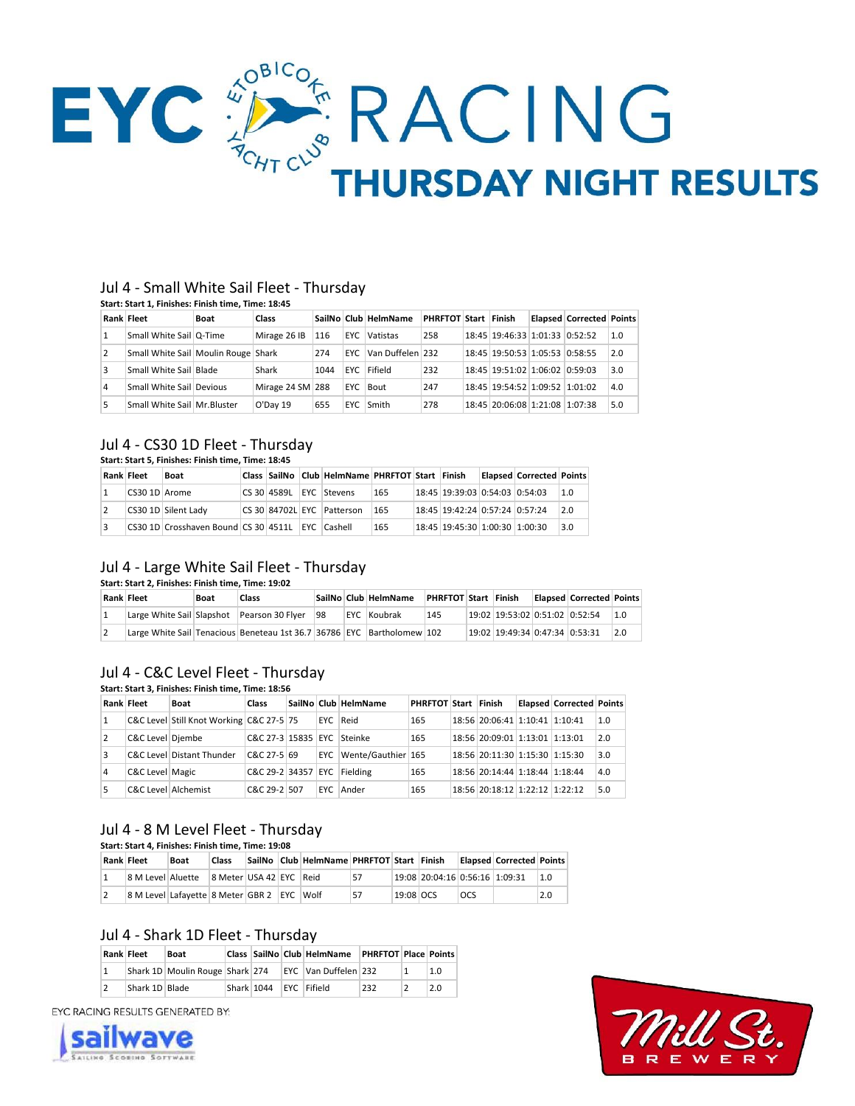

#### Jul 4 - Small White Sail Fleet - Thursday **Start: Start 1, Finishes: Finish time, Time: 18:45**

|    | start: start 1. Finishes: Finish time. Time: 18:45 |             |                  |      |      |                      |                      |  |                                |  |                                 |     |
|----|----------------------------------------------------|-------------|------------------|------|------|----------------------|----------------------|--|--------------------------------|--|---------------------------------|-----|
|    | <b>Rank Fleet</b>                                  | <b>Boat</b> | Class            |      |      | SailNo Club HelmName | PHRFTOT Start Finish |  |                                |  | <b>Elapsed Corrected Points</b> |     |
|    | Small White Sail   Q-Time                          |             | Mirage 26 IB     | 116  | EYC. | Vatistas             | 258                  |  | 18:45 19:46:33 1:01:33 0:52:52 |  |                                 | 1.0 |
| 2  | Small White Sail Moulin Rouge Shark                |             |                  | 274  |      | EYC Van Duffelen 232 |                      |  | 18:45 19:50:53 1:05:53 0:58:55 |  |                                 | 2.0 |
| 3  | Small White Sail Blade                             |             | Shark            | 1044 |      | EYC Fifield          | 232                  |  | 18:45 19:51:02 1:06:02 0:59:03 |  |                                 | 3.0 |
| 4  | Small White Sail Devious                           |             | Mirage 24 SM 288 |      |      | EYC Bout             | 247                  |  | 18:45 19:54:52 1:09:52 1:01:02 |  |                                 | 4.0 |
| 5. | Small White Sail Mr. Bluster                       |             | O'Day 19         | 655  |      | EYC Smith            | 278                  |  | 18:45 20:06:08 1:21:08 1:07:38 |  |                                 | 5.0 |

## Jul 4 - CS30 1D Fleet - Thursday

#### **Start: Start 5, Finishes: Finish time, Time: 18:45**

| <b>Rank Fleet</b> |               | <b>Boat</b>                                      |  | Class SailNo Club HelmName PHRFTOT Start Finish |     |                                | <b>Elapsed Corrected Points</b> |     |
|-------------------|---------------|--------------------------------------------------|--|-------------------------------------------------|-----|--------------------------------|---------------------------------|-----|
|                   | CS30 1D Arome |                                                  |  | CS 30 4589L EYC Stevens                         | 165 | 18:45 19:39:03 0:54:03 0:54:03 |                                 | 1.0 |
|                   |               | CS30 1D Silent Lady                              |  | CS 30 84702L EYC Patterson                      | 165 | 18:45 19:42:24 0:57:24 0:57:24 |                                 | 2.0 |
|                   |               | CS30 1D Crosshaven Bound CS 30 4511L EYC Cashell |  |                                                 | 165 | 18:45 19:45:30 1:00:30 1:00:30 |                                 | 3.0 |

### Jul 4 - Large White Sail Fleet - Thursday

### **Start: Start 2, Finishes: Finish time, Time: 19:02**

|  | Rank Fleet | <b>Boat</b> | <b>Class</b>                                                           |  | SailNo Club HelmName | PHRFTOT Start Finish |                                      | <b>Elapsed Corrected Points</b> |     |
|--|------------|-------------|------------------------------------------------------------------------|--|----------------------|----------------------|--------------------------------------|---------------------------------|-----|
|  |            |             | Large White Sail Slapshot Pearson 30 Flyer 98                          |  | EYC Koubrak          | 145                  | 19:02   19:53:02   0:51:02   0:52:54 |                                 | 1.0 |
|  |            |             | Large White Sail Tenacious Beneteau 1st 36.7 36786 EYC Bartholomew 102 |  |                      |                      | 19:02   19:49:34   0:47:34   0:53:31 |                                 | 2.0 |

#### Jul 4 - C&C Level Fleet - Thursday **Start: Start 3, Finishes: Finish time, Time: 18:56**

| Rank Fleet          | Boat                                     | Class                       |  | SailNo Club HelmName   | PHRFTOT Start Finish |                                | <b>Elapsed Corrected Points</b> |     |
|---------------------|------------------------------------------|-----------------------------|--|------------------------|----------------------|--------------------------------|---------------------------------|-----|
|                     | C&C Level Still Knot Working C&C 27-5 75 |                             |  | EYC Reid               | 165                  | 18:56 20:06:41 1:10:41 1:10:41 |                                 | 1.0 |
| C&C Level Diembe    |                                          | C&C 27-3 15835 EYC Steinke  |  |                        | 165                  | 18:56 20:09:01 1:13:01 1:13:01 |                                 | 2.0 |
|                     | C&C Level Distant Thunder                | C&C 27-5 69                 |  | EYC Wente/Gauthier 165 |                      | 18:56 20:11:30 1:15:30 1:15:30 |                                 | 3.0 |
| C&C Level Magic     |                                          | C&C 29-2 34357 EYC Fielding |  |                        | 165                  | 18:56 20:14:44 1:18:44 1:18:44 |                                 | 4.0 |
| C&C Level Alchemist |                                          | C&C 29-2 507                |  | EYC Ander              | 165                  | 18:56 20:18:12 1:22:12 1:22:12 |                                 | 5.0 |

# Jul 4 - 8 M Level Fleet - Thursday

**Start: Start 4, Finishes: Finish time, Time: 19:08**

| Rank Fleet |                                            | <b>Boat</b> | <b>Class</b>            |  | SailNo Club HelmName PHRFTOT Start Finish |    |           |                                |            | <b>Elapsed Corrected Points</b> |     |
|------------|--------------------------------------------|-------------|-------------------------|--|-------------------------------------------|----|-----------|--------------------------------|------------|---------------------------------|-----|
|            | 8 M Level Aluette                          |             | 8 Meter USA 42 EYC Reid |  |                                           | 57 |           | 19:08 20:04:16 0:56:16 1:09:31 |            |                                 | 1.0 |
|            | 8 M Level Lafavette 8 Meter GBR 2 EYC Wolf |             |                         |  |                                           | 57 | 19:08 OCS |                                | <b>OCS</b> |                                 | 2.0 |

# Jul 4 - Shark 1D Fleet - Thursday

| <b>Rank Fleet</b> | Boat                            |            | Class SailNo Club HelmName | <b>PHRFTOT Place Points</b> |     |
|-------------------|---------------------------------|------------|----------------------------|-----------------------------|-----|
|                   | Shark 1D Moulin Rouge Shark 274 |            | EYC Van Duffelen 232       |                             | 1.0 |
| Shark 1D Blade    |                                 | Shark 1044 | EYC Fifield                | 232                         | 2.0 |

EYC RACING RESULTS GENERATED BY: